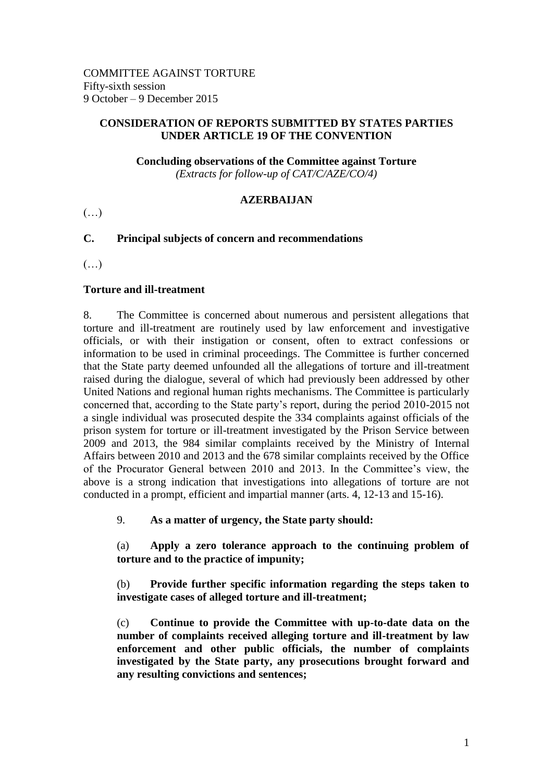## **CONSIDERATION OF REPORTS SUBMITTED BY STATES PARTIES UNDER ARTICLE 19 OF THE CONVENTION**

**Concluding observations of the Committee against Torture**

*(Extracts for follow-up of CAT/C/AZE/CO/4)*

# **AZERBAIJAN**

 $(\ldots)$ 

# **C. Principal subjects of concern and recommendations**

 $(\ldots)$ 

## **Torture and ill-treatment**

8. The Committee is concerned about numerous and persistent allegations that torture and ill-treatment are routinely used by law enforcement and investigative officials, or with their instigation or consent, often to extract confessions or information to be used in criminal proceedings. The Committee is further concerned that the State party deemed unfounded all the allegations of torture and ill-treatment raised during the dialogue, several of which had previously been addressed by other United Nations and regional human rights mechanisms. The Committee is particularly concerned that, according to the State party's report, during the period 2010-2015 not a single individual was prosecuted despite the 334 complaints against officials of the prison system for torture or ill-treatment investigated by the Prison Service between 2009 and 2013, the 984 similar complaints received by the Ministry of Internal Affairs between 2010 and 2013 and the 678 similar complaints received by the Office of the Procurator General between 2010 and 2013. In the Committee's view, the above is a strong indication that investigations into allegations of torture are not conducted in a prompt, efficient and impartial manner (arts. 4, 12-13 and 15-16).

9. **As a matter of urgency, the State party should:**

(a) **Apply a zero tolerance approach to the continuing problem of torture and to the practice of impunity;**

(b) **Provide further specific information regarding the steps taken to investigate cases of alleged torture and ill-treatment;**

(c) **Continue to provide the Committee with up-to-date data on the number of complaints received alleging torture and ill-treatment by law enforcement and other public officials, the number of complaints investigated by the State party, any prosecutions brought forward and any resulting convictions and sentences;**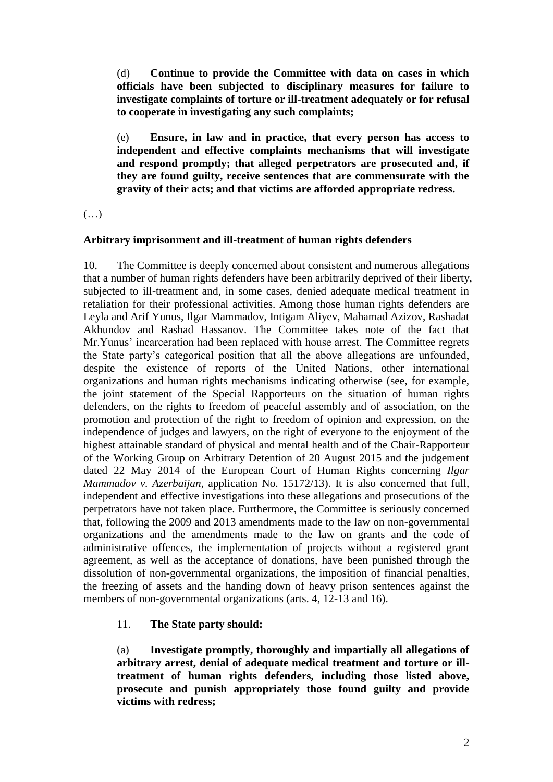(d) **Continue to provide the Committee with data on cases in which officials have been subjected to disciplinary measures for failure to investigate complaints of torture or ill-treatment adequately or for refusal to cooperate in investigating any such complaints;**

(e) **Ensure, in law and in practice, that every person has access to independent and effective complaints mechanisms that will investigate and respond promptly; that alleged perpetrators are prosecuted and, if they are found guilty, receive sentences that are commensurate with the gravity of their acts; and that victims are afforded appropriate redress.**

 $(\ldots)$ 

#### **Arbitrary imprisonment and ill-treatment of human rights defenders**

10. The Committee is deeply concerned about consistent and numerous allegations that a number of human rights defenders have been arbitrarily deprived of their liberty, subjected to ill-treatment and, in some cases, denied adequate medical treatment in retaliation for their professional activities. Among those human rights defenders are Leyla and Arif Yunus, Ilgar Mammadov, Intigam Aliyev, Mahamad Azizov, Rashadat Akhundov and Rashad Hassanov. The Committee takes note of the fact that Mr.Yunus' incarceration had been replaced with house arrest. The Committee regrets the State party's categorical position that all the above allegations are unfounded, despite the existence of reports of the United Nations, other international organizations and human rights mechanisms indicating otherwise (see, for example, the joint statement of the Special Rapporteurs on the situation of human rights defenders, on the rights to freedom of peaceful assembly and of association, on the promotion and protection of the right to freedom of opinion and expression, on the independence of judges and lawyers, on the right of everyone to the enjoyment of the highest attainable standard of physical and mental health and of the Chair-Rapporteur of the Working Group on Arbitrary Detention of 20 August 2015 and the judgement dated 22 May 2014 of the European Court of Human Rights concerning *Ilgar Mammadov v. Azerbaijan*, application No. 15172/13). It is also concerned that full, independent and effective investigations into these allegations and prosecutions of the perpetrators have not taken place. Furthermore, the Committee is seriously concerned that, following the 2009 and 2013 amendments made to the law on non-governmental organizations and the amendments made to the law on grants and the code of administrative offences, the implementation of projects without a registered grant agreement, as well as the acceptance of donations, have been punished through the dissolution of non-governmental organizations, the imposition of financial penalties, the freezing of assets and the handing down of heavy prison sentences against the members of non-governmental organizations (arts. 4, 12-13 and 16).

# 11. **The State party should:**

(a) **Investigate promptly, thoroughly and impartially all allegations of arbitrary arrest, denial of adequate medical treatment and torture or illtreatment of human rights defenders, including those listed above, prosecute and punish appropriately those found guilty and provide victims with redress;**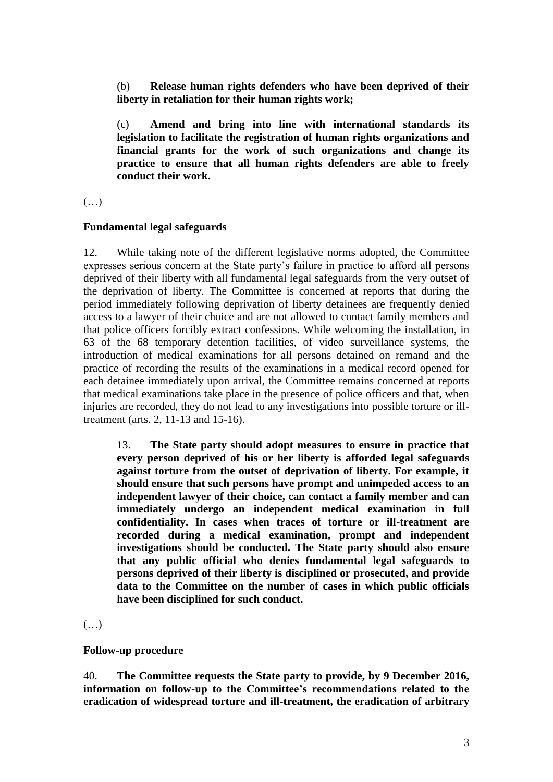(b) **Release human rights defenders who have been deprived of their liberty in retaliation for their human rights work;**

(c) **Amend and bring into line with international standards its legislation to facilitate the registration of human rights organizations and financial grants for the work of such organizations and change its practice to ensure that all human rights defenders are able to freely conduct their work.**

 $(\ldots)$ 

### **Fundamental legal safeguards**

12. While taking note of the different legislative norms adopted, the Committee expresses serious concern at the State party's failure in practice to afford all persons deprived of their liberty with all fundamental legal safeguards from the very outset of the deprivation of liberty. The Committee is concerned at reports that during the period immediately following deprivation of liberty detainees are frequently denied access to a lawyer of their choice and are not allowed to contact family members and that police officers forcibly extract confessions. While welcoming the installation, in 63 of the 68 temporary detention facilities, of video surveillance systems, the introduction of medical examinations for all persons detained on remand and the practice of recording the results of the examinations in a medical record opened for each detainee immediately upon arrival, the Committee remains concerned at reports that medical examinations take place in the presence of police officers and that, when injuries are recorded, they do not lead to any investigations into possible torture or illtreatment (arts. 2, 11-13 and 15-16).

13. **The State party should adopt measures to ensure in practice that every person deprived of his or her liberty is afforded legal safeguards against torture from the outset of deprivation of liberty. For example, it should ensure that such persons have prompt and unimpeded access to an independent lawyer of their choice, can contact a family member and can immediately undergo an independent medical examination in full confidentiality. In cases when traces of torture or ill-treatment are recorded during a medical examination, prompt and independent investigations should be conducted. The State party should also ensure that any public official who denies fundamental legal safeguards to persons deprived of their liberty is disciplined or prosecuted, and provide data to the Committee on the number of cases in which public officials have been disciplined for such conduct.**

### (…)

### **Follow-up procedure**

40. **The Committee requests the State party to provide, by 9 December 2016, information on follow-up to the Committee's recommendations related to the eradication of widespread torture and ill-treatment, the eradication of arbitrary**